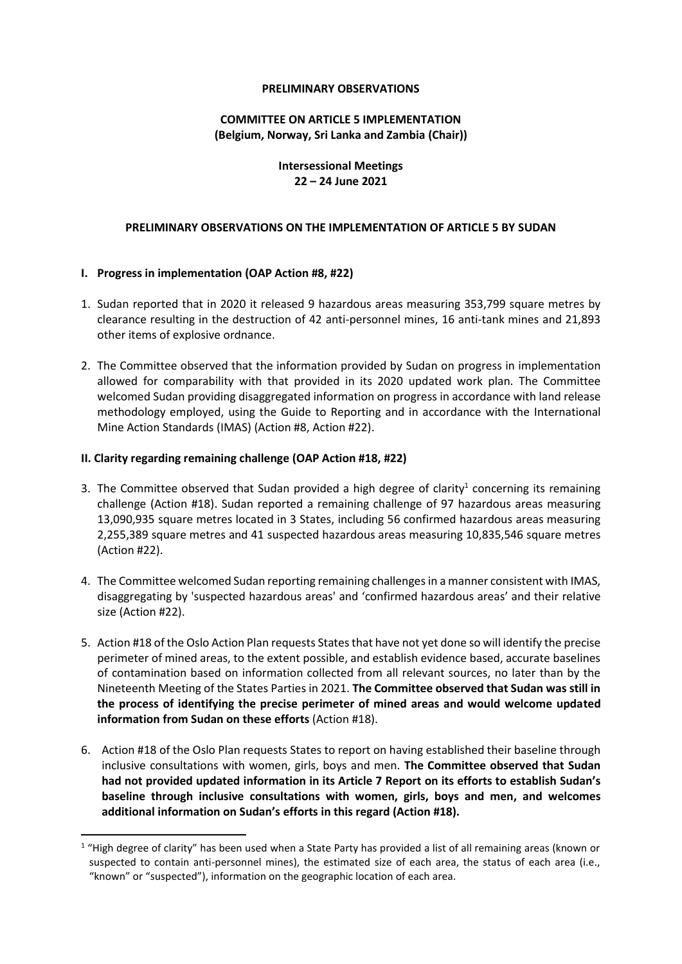#### **PRELIMINARY OBSERVATIONS**

# **COMMITTEE ON ARTICLE 5 IMPLEMENTATION (Belgium, Norway, Sri Lanka and Zambia (Chair))**

# **Intersessional Meetings 22 – 24 June 2021**

## **PRELIMINARY OBSERVATIONS ON THE IMPLEMENTATION OF ARTICLE 5 BY SUDAN**

# **I. Progress in implementation (OAP Action #8, #22)**

- 1. Sudan reported that in 2020 it released 9 hazardous areas measuring 353,799 square metres by clearance resulting in the destruction of 42 anti-personnel mines, 16 anti-tank mines and 21,893 other items of explosive ordnance.
- 2. The Committee observed that the information provided by Sudan on progress in implementation allowed for comparability with that provided in its 2020 updated work plan. The Committee welcomed Sudan providing disaggregated information on progress in accordance with land release methodology employed, using the Guide to Reporting and in accordance with the International Mine Action Standards (IMAS) (Action #8, Action #22).

## **II. Clarity regarding remaining challenge (OAP Action #18, #22)**

- 3. The Committee observed that Sudan provided a high degree of clarity<sup>1</sup> concerning its remaining challenge (Action #18). Sudan reported a remaining challenge of 97 hazardous areas measuring 13,090,935 square metres located in 3 States, including 56 confirmed hazardous areas measuring 2,255,389 square metres and 41 suspected hazardous areas measuring 10,835,546 square metres (Action #22).
- 4. The Committee welcomed Sudan reporting remaining challenges in a manner consistent with IMAS, disaggregating by 'suspected hazardous areas' and 'confirmed hazardous areas' and their relative size (Action #22).
- 5. Action #18 of the Oslo Action Plan requests States that have not yet done so will identify the precise perimeter of mined areas, to the extent possible, and establish evidence based, accurate baselines of contamination based on information collected from all relevant sources, no later than by the Nineteenth Meeting of the States Parties in 2021. **The Committee observed that Sudan was still in the process of identifying the precise perimeter of mined areas and would welcome updated information from Sudan on these efforts** (Action #18).
- 6. Action #18 of the Oslo Plan requests States to report on having established their baseline through inclusive consultations with women, girls, boys and men. **The Committee observed that Sudan had not provided updated information in its Article 7 Report on its efforts to establish Sudan's baseline through inclusive consultations with women, girls, boys and men, and welcomes additional information on Sudan's efforts in this regard (Action #18).**

<sup>&</sup>lt;sup>1</sup> "High degree of clarity" has been used when a State Party has provided a list of all remaining areas (known or suspected to contain anti-personnel mines), the estimated size of each area, the status of each area (i.e., "known" or "suspected"), information on the geographic location of each area.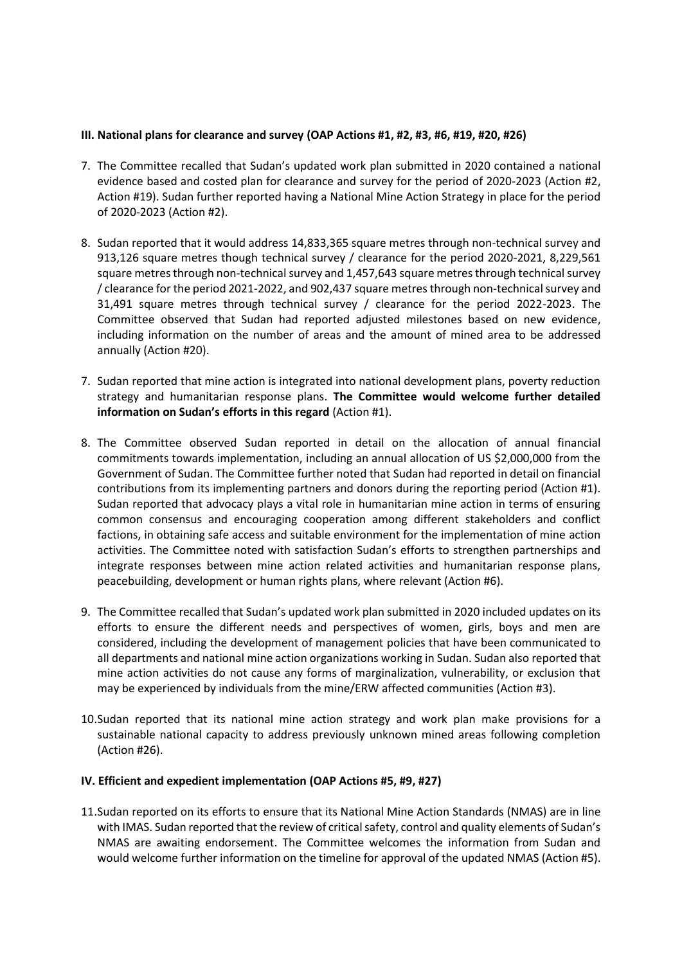# **III. National plans for clearance and survey (OAP Actions #1, #2, #3, #6, #19, #20, #26)**

- 7. The Committee recalled that Sudan's updated work plan submitted in 2020 contained a national evidence based and costed plan for clearance and survey for the period of 2020-2023 (Action #2, Action #19). Sudan further reported having a National Mine Action Strategy in place for the period of 2020-2023 (Action #2).
- 8. Sudan reported that it would address 14,833,365 square metres through non-technical survey and 913,126 square metres though technical survey / clearance for the period 2020-2021, 8,229,561 square metres through non-technical survey and 1,457,643 square metres through technical survey / clearance for the period 2021-2022, and 902,437 square metres through non-technical survey and 31,491 square metres through technical survey / clearance for the period 2022-2023. The Committee observed that Sudan had reported adjusted milestones based on new evidence, including information on the number of areas and the amount of mined area to be addressed annually (Action #20).
- 7. Sudan reported that mine action is integrated into national development plans, poverty reduction strategy and humanitarian response plans. **The Committee would welcome further detailed information on Sudan's efforts in this regard** (Action #1).
- 8. The Committee observed Sudan reported in detail on the allocation of annual financial commitments towards implementation, including an annual allocation of US \$2,000,000 from the Government of Sudan. The Committee further noted that Sudan had reported in detail on financial contributions from its implementing partners and donors during the reporting period (Action #1). Sudan reported that advocacy plays a vital role in humanitarian mine action in terms of ensuring common consensus and encouraging cooperation among different stakeholders and conflict factions, in obtaining safe access and suitable environment for the implementation of mine action activities. The Committee noted with satisfaction Sudan's efforts to strengthen partnerships and integrate responses between mine action related activities and humanitarian response plans, peacebuilding, development or human rights plans, where relevant (Action #6).
- 9. The Committee recalled that Sudan's updated work plan submitted in 2020 included updates on its efforts to ensure the different needs and perspectives of women, girls, boys and men are considered, including the development of management policies that have been communicated to all departments and national mine action organizations working in Sudan. Sudan also reported that mine action activities do not cause any forms of marginalization, vulnerability, or exclusion that may be experienced by individuals from the mine/ERW affected communities (Action #3).
- 10.Sudan reported that its national mine action strategy and work plan make provisions for a sustainable national capacity to address previously unknown mined areas following completion (Action #26).

## **IV. Efficient and expedient implementation (OAP Actions #5, #9, #27)**

11.Sudan reported on its efforts to ensure that its National Mine Action Standards (NMAS) are in line with IMAS. Sudan reported that the review of critical safety, control and quality elements of Sudan's NMAS are awaiting endorsement. The Committee welcomes the information from Sudan and would welcome further information on the timeline for approval of the updated NMAS (Action #5).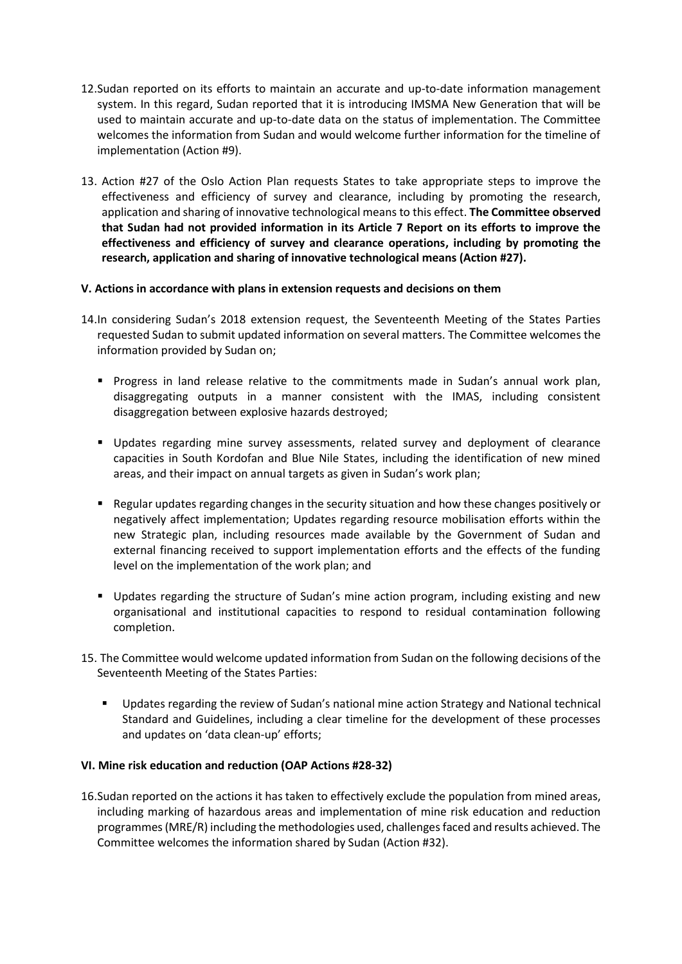- 12.Sudan reported on its efforts to maintain an accurate and up-to-date information management system. In this regard, Sudan reported that it is introducing IMSMA New Generation that will be used to maintain accurate and up-to-date data on the status of implementation. The Committee welcomes the information from Sudan and would welcome further information for the timeline of implementation (Action #9).
- 13. Action #27 of the Oslo Action Plan requests States to take appropriate steps to improve the effectiveness and efficiency of survey and clearance, including by promoting the research, application and sharing of innovative technological means to this effect. **The Committee observed that Sudan had not provided information in its Article 7 Report on its efforts to improve the effectiveness and efficiency of survey and clearance operations, including by promoting the research, application and sharing of innovative technological means (Action #27).**

## **V. Actions in accordance with plans in extension requests and decisions on them**

- 14.In considering Sudan's 2018 extension request, the Seventeenth Meeting of the States Parties requested Sudan to submit updated information on several matters. The Committee welcomes the information provided by Sudan on;
	- **•** Progress in land release relative to the commitments made in Sudan's annual work plan, disaggregating outputs in a manner consistent with the IMAS, including consistent disaggregation between explosive hazards destroyed;
	- Updates regarding mine survey assessments, related survey and deployment of clearance capacities in South Kordofan and Blue Nile States, including the identification of new mined areas, and their impact on annual targets as given in Sudan's work plan;
	- Regular updates regarding changes in the security situation and how these changes positively or negatively affect implementation; Updates regarding resource mobilisation efforts within the new Strategic plan, including resources made available by the Government of Sudan and external financing received to support implementation efforts and the effects of the funding level on the implementation of the work plan; and
	- Updates regarding the structure of Sudan's mine action program, including existing and new organisational and institutional capacities to respond to residual contamination following completion.
- 15. The Committee would welcome updated information from Sudan on the following decisions of the Seventeenth Meeting of the States Parties:
	- Updates regarding the review of Sudan's national mine action Strategy and National technical Standard and Guidelines, including a clear timeline for the development of these processes and updates on 'data clean-up' efforts;

## **VI. Mine risk education and reduction (OAP Actions #28-32)**

16.Sudan reported on the actions it has taken to effectively exclude the population from mined areas, including marking of hazardous areas and implementation of mine risk education and reduction programmes (MRE/R) including the methodologies used, challenges faced and results achieved. The Committee welcomes the information shared by Sudan (Action #32).